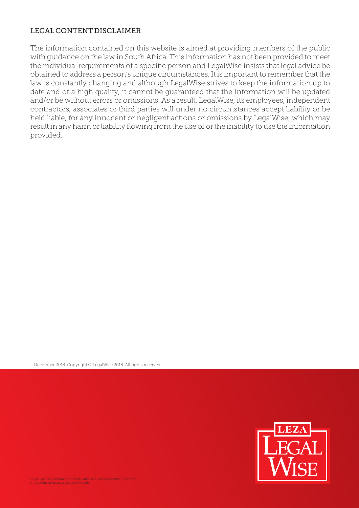## LEGAL CONTENT DISCLAIMER

The information contained on this website is aimed at providing members of the public with guidance on the law in South Africa. This information has not been provided to meet the individual requirements of a specific person and LegalWise insists that legal advice be obtained to address a person's unique circumstances. It is important to remember that the law is constantly changing and although LegalWise strives to keep the information up to date and of a high quality, it cannot be guaranteed that the information will be updated and/or be without errors or omissions. As a result, LegalWise, its employees, independent contractors, associates or third parties will under no circumstances accept liability or be held liable, for any innocent or negligent actions or omissions by LegalWise, which may result in any harm or liability flowing from the use of or the inability to use the information provided.

December 2018. Copyright © LegalWise 2018. All rights reserved.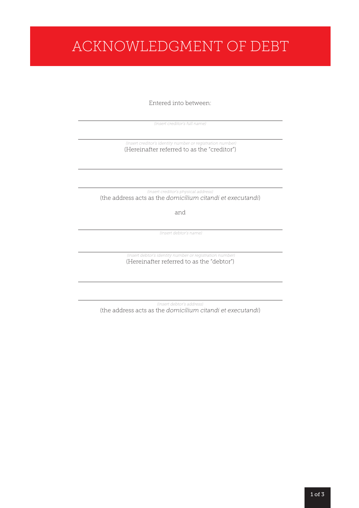# ACKNOWLEDGMENT OF DEBT

Entered into between:

 $\overline{a}$ *(insert creditor's full name)*

(Hereinafter referred to as the "creditor") *(insert creditor's identity number or registration number)*

(the address acts as the *domicilium citandi et executandi*) *(insert creditor's physical address)* 

and

*(insert debtor's name)* 

(Hereinafter referred to as the "debtor") *(insert debtor's identity number or registration number)* 

(the address acts as the *domicilium citandi et executandi*) *(insert debtor's address)*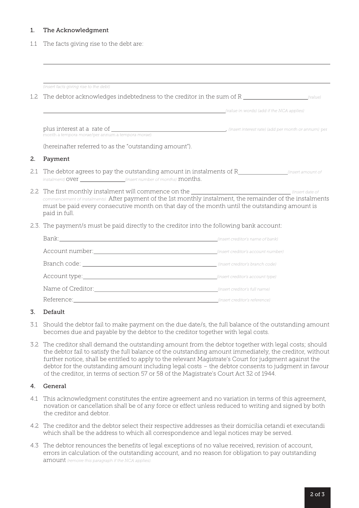#### 1. The Acknowledgment

1.1 The facts giving rise to the debt are:

|     | (insert facts giving rise to the debt)                                                                                                                                                                                                                                                                                                   |                                           |  |  |  |
|-----|------------------------------------------------------------------------------------------------------------------------------------------------------------------------------------------------------------------------------------------------------------------------------------------------------------------------------------------|-------------------------------------------|--|--|--|
| 1.2 | The debtor acknowledges indebtedness to the creditor in the sum of $R_{\text{1}}$ (value)                                                                                                                                                                                                                                                |                                           |  |  |  |
|     |                                                                                                                                                                                                                                                                                                                                          | (value in words) (add if the NCA applies) |  |  |  |
|     | month a tempora morae/per annum a tempora morae)                                                                                                                                                                                                                                                                                         |                                           |  |  |  |
|     | (hereinafter referred to as the "outstanding amount").                                                                                                                                                                                                                                                                                   |                                           |  |  |  |
| 2.  | Payment                                                                                                                                                                                                                                                                                                                                  |                                           |  |  |  |
| 2.1 | instalment) OVer ____________________(insert number of months) months.                                                                                                                                                                                                                                                                   |                                           |  |  |  |
|     | 2.2 The first monthly instalment will commence on the _________________________________ (insert date of<br>commencement of instalments). After payment of the 1st monthly instalment, the remainder of the instalments<br>must be paid every consecutive month on that day of the month until the outstanding amount is<br>paid in full. |                                           |  |  |  |
|     | 2.3. The payment/s must be paid directly to the creditor into the following bank account:                                                                                                                                                                                                                                                |                                           |  |  |  |
|     |                                                                                                                                                                                                                                                                                                                                          |                                           |  |  |  |
|     |                                                                                                                                                                                                                                                                                                                                          |                                           |  |  |  |
|     |                                                                                                                                                                                                                                                                                                                                          |                                           |  |  |  |
|     |                                                                                                                                                                                                                                                                                                                                          |                                           |  |  |  |
|     |                                                                                                                                                                                                                                                                                                                                          |                                           |  |  |  |
|     | Reference:<br>winsert creditor's reference)                                                                                                                                                                                                                                                                                              |                                           |  |  |  |

#### 3. Default

- 3.1 Should the debtor fail to make payment on the due date/s, the full balance of the outstanding amount becomes due and payable by the debtor to the creditor together with legal costs.
- 3.2 The creditor shall demand the outstanding amount from the debtor together with legal costs; should the debtor fail to satisfy the full balance of the outstanding amount immediately, the creditor, without further notice, shall be entitled to apply to the relevant Magistrate's Court for judgment against the debtor for the outstanding amount including legal costs – the debtor consents to judgment in favour of the creditor, in terms of section 57 or 58 of the Magistrate's Court Act 32 of 1944.

#### 4. General

- 4.1 This acknowledgment constitutes the entire agreement and no variation in terms of this agreement, novation or cancellation shall be of any force or effect unless reduced to writing and signed by both the creditor and debtor.
- 4.2 The creditor and the debtor select their respective addresses as their domicilia cetandi et executandi which shall be the address to which all correspondence and legal notices may be served.
- 4.3 The debtor renounces the benefits of legal exceptions of no value received, revision of account, errors in calculation of the outstanding account, and no reason for obligation to pay outstanding amount *(remove this paragraph if the NCA applies).*